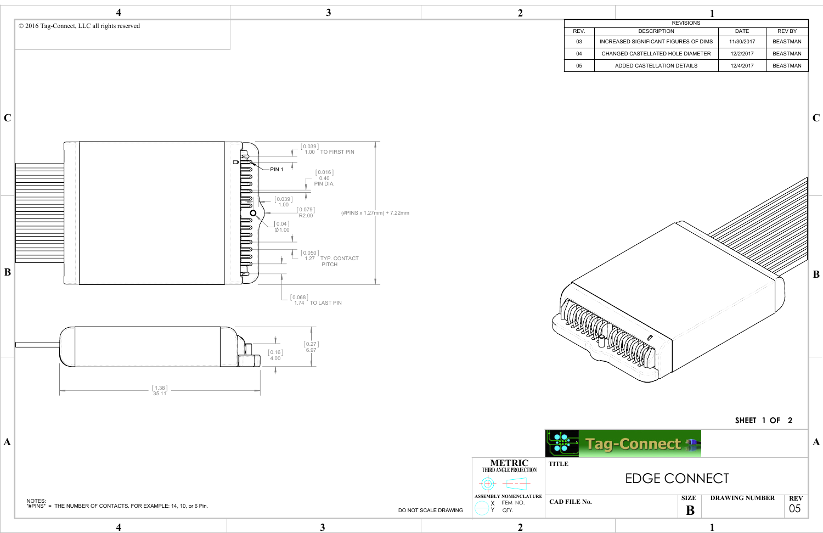

| <b>REVISIONS</b>                            |            |                 |
|---------------------------------------------|------------|-----------------|
| <b>DESCRIPTION</b>                          | DATE       | <b>REV BY</b>   |
| <b>ICREASED SIGNIFICANT FIGURES OF DIMS</b> | 11/30/2017 | <b>BEASTMAN</b> |
| CHANGED CASTELLATED HOLE DIAMETER           | 12/2/2017  | <b>BEASTMAN</b> |
| ADDED CASTELLATION DETAILS                  | 12/4/2017  | <b>BEASTMAN</b> |
|                                             |            |                 |